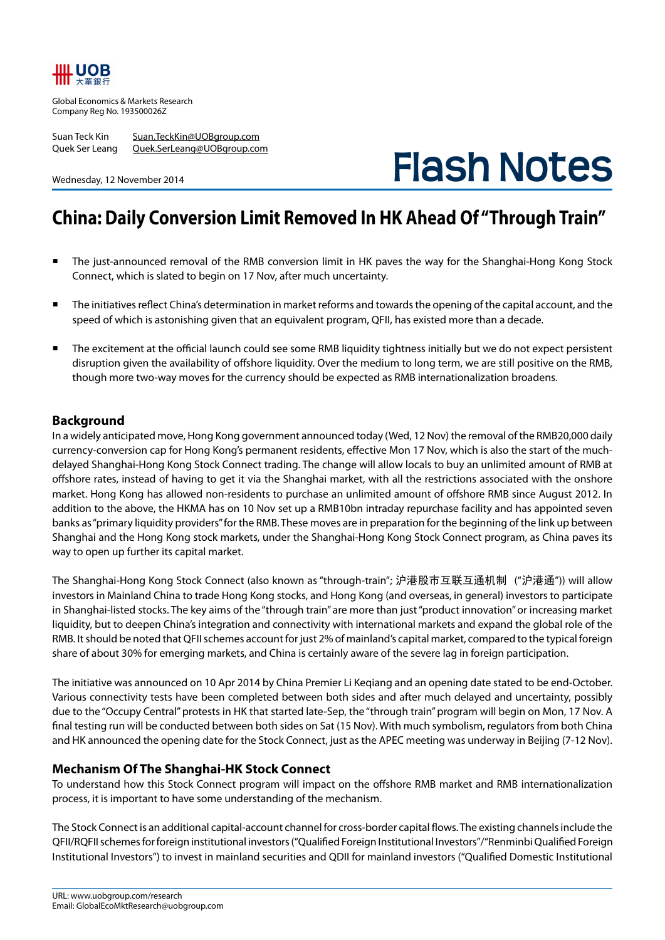## IIIL UOB

Global Economics & Markets Research Company Reg No. 193500026Z

Suan Teck Kin Suan.TeckKin@UOBgroup.com Quek Ser Leang Quek.SerLeang@UOBgroup.com

Wednesday, 12 November 2014

# **Flash Notes**

### **China: Daily Conversion Limit Removed In HK Ahead Of "Through Train"**

- The just-announced removal of the RMB conversion limit in HK paves the way for the Shanghai-Hong Kong Stock Connect, which is slated to begin on 17 Nov, after much uncertainty.
- The initiatives reflect China's determination in market reforms and towards the opening of the capital account, and the speed of which is astonishing given that an equivalent program, QFII, has existed more than a decade.
- The excitement at the official launch could see some RMB liquidity tightness initially but we do not expect persistent disruption given the availability of offshore liquidity. Over the medium to long term, we are still positive on the RMB, though more two-way moves for the currency should be expected as RMB internationalization broadens.

#### **Background**

In a widely anticipated move, Hong Kong government announced today (Wed, 12 Nov) the removal of the RMB20,000 daily currency-conversion cap for Hong Kong's permanent residents, effective Mon 17 Nov, which is also the start of the muchdelayed Shanghai-Hong Kong Stock Connect trading. The change will allow locals to buy an unlimited amount of RMB at offshore rates, instead of having to get it via the Shanghai market, with all the restrictions associated with the onshore market. Hong Kong has allowed non-residents to purchase an unlimited amount of offshore RMB since August 2012. In addition to the above, the HKMA has on 10 Nov set up a RMB10bn intraday repurchase facility and has appointed seven banks as "primary liquidity providers" for the RMB. These moves are in preparation for the beginning of the link up between Shanghai and the Hong Kong stock markets, under the Shanghai-Hong Kong Stock Connect program, as China paves its way to open up further its capital market.

The Shanghai-Hong Kong Stock Connect (also known as "through-train"; 沪港股市互联互通机制 ("沪港通")) will allow investors in Mainland China to trade Hong Kong stocks, and Hong Kong (and overseas, in general) investors to participate in Shanghai-listed stocks. The key aims of the "through train" are more than just "product innovation" or increasing market liquidity, but to deepen China's integration and connectivity with international markets and expand the global role of the RMB. It should be noted that QFII schemes account for just 2% of mainland's capital market, compared to the typical foreign share of about 30% for emerging markets, and China is certainly aware of the severe lag in foreign participation.

The initiative was announced on 10 Apr 2014 by China Premier Li Keqiang and an opening date stated to be end-October. Various connectivity tests have been completed between both sides and after much delayed and uncertainty, possibly due to the "Occupy Central" protests in HK that started late-Sep, the "through train" program will begin on Mon, 17 Nov. A final testing run will be conducted between both sides on Sat (15 Nov). With much symbolism, regulators from both China and HK announced the opening date for the Stock Connect, just as the APEC meeting was underway in Beijing (7-12 Nov).

#### **Mechanism Of The Shanghai-HK Stock Connect**

To understand how this Stock Connect program will impact on the offshore RMB market and RMB internationalization process, it is important to have some understanding of the mechanism.

The Stock Connect is an additional capital-account channel for cross-border capital flows. The existing channels include the QFII/RQFII schemes for foreign institutional investors ("Qualified Foreign Institutional Investors"/"Renminbi Qualified Foreign Institutional Investors") to invest in mainland securities and QDII for mainland investors ("Qualified Domestic Institutional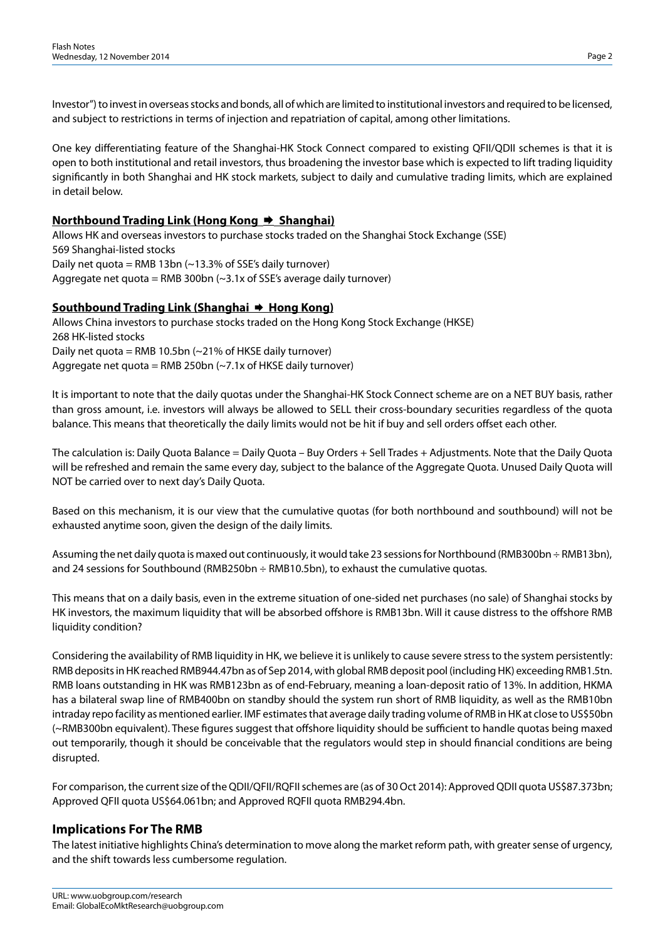Investor") to invest in overseas stocks and bonds, all of which are limited to institutional investors and required to be licensed, and subject to restrictions in terms of injection and repatriation of capital, among other limitations.

One key differentiating feature of the Shanghai-HK Stock Connect compared to existing QFII/QDII schemes is that it is open to both institutional and retail investors, thus broadening the investor base which is expected to lift trading liquidity significantly in both Shanghai and HK stock markets, subject to daily and cumulative trading limits, which are explained in detail below.

#### **Northbound Trading Link (Hong Kong → Shanghai)**

Allows HK and overseas investors to purchase stocks traded on the Shanghai Stock Exchange (SSE) 569 Shanghai-listed stocks Daily net quota = RMB 13bn  $(-13.3\%$  of SSE's daily turnover) Aggregate net quota = RMB 300bn  $\left(\sim\right)$ 3.1x of SSE's average daily turnover)

#### **Southbound Trading Link (Shanghai → Hong Kong)**

Allows China investors to purchase stocks traded on the Hong Kong Stock Exchange (HKSE) 268 HK-listed stocks Daily net quota = RMB 10.5bn  $(-21\%$  of HKSE daily turnover) Aggregate net quota = RMB 250bn  $(\sim 7.1x)$  of HKSE daily turnover)

It is important to note that the daily quotas under the Shanghai-HK Stock Connect scheme are on a NET BUY basis, rather than gross amount, i.e. investors will always be allowed to SELL their cross-boundary securities regardless of the quota balance. This means that theoretically the daily limits would not be hit if buy and sell orders offset each other.

The calculation is: Daily Quota Balance = Daily Quota – Buy Orders + Sell Trades + Adjustments. Note that the Daily Quota will be refreshed and remain the same every day, subject to the balance of the Aggregate Quota. Unused Daily Quota will NOT be carried over to next day's Daily Quota.

Based on this mechanism, it is our view that the cumulative quotas (for both northbound and southbound) will not be exhausted anytime soon, given the design of the daily limits.

Assuming the net daily quota is maxed out continuously, it would take 23 sessions for Northbound (RMB300bn ÷ RMB13bn), and 24 sessions for Southbound (RMB250bn ÷ RMB10.5bn), to exhaust the cumulative quotas.

This means that on a daily basis, even in the extreme situation of one-sided net purchases (no sale) of Shanghai stocks by HK investors, the maximum liquidity that will be absorbed offshore is RMB13bn. Will it cause distress to the offshore RMB liquidity condition?

Considering the availability of RMB liquidity in HK, we believe it is unlikely to cause severe stress to the system persistently: RMB deposits in HK reached RMB944.47bn as of Sep 2014, with global RMB deposit pool (including HK) exceeding RMB1.5tn. RMB loans outstanding in HK was RMB123bn as of end-February, meaning a loan-deposit ratio of 13%. In addition, HKMA has a bilateral swap line of RMB400bn on standby should the system run short of RMB liquidity, as well as the RMB10bn intraday repo facility as mentioned earlier. IMF estimates that average daily trading volume of RMB in HK at close to US\$50bn (~RMB300bn equivalent). These figures suggest that offshore liquidity should be sufficient to handle quotas being maxed out temporarily, though it should be conceivable that the regulators would step in should financial conditions are being disrupted.

For comparison, the current size of the QDII/QFII/RQFII schemes are (as of 30 Oct 2014): Approved QDII quota US\$87.373bn; Approved QFII quota US\$64.061bn; and Approved RQFII quota RMB294.4bn.

#### **Implications For The RMB**

The latest initiative highlights China's determination to move along the market reform path, with greater sense of urgency, and the shift towards less cumbersome regulation.